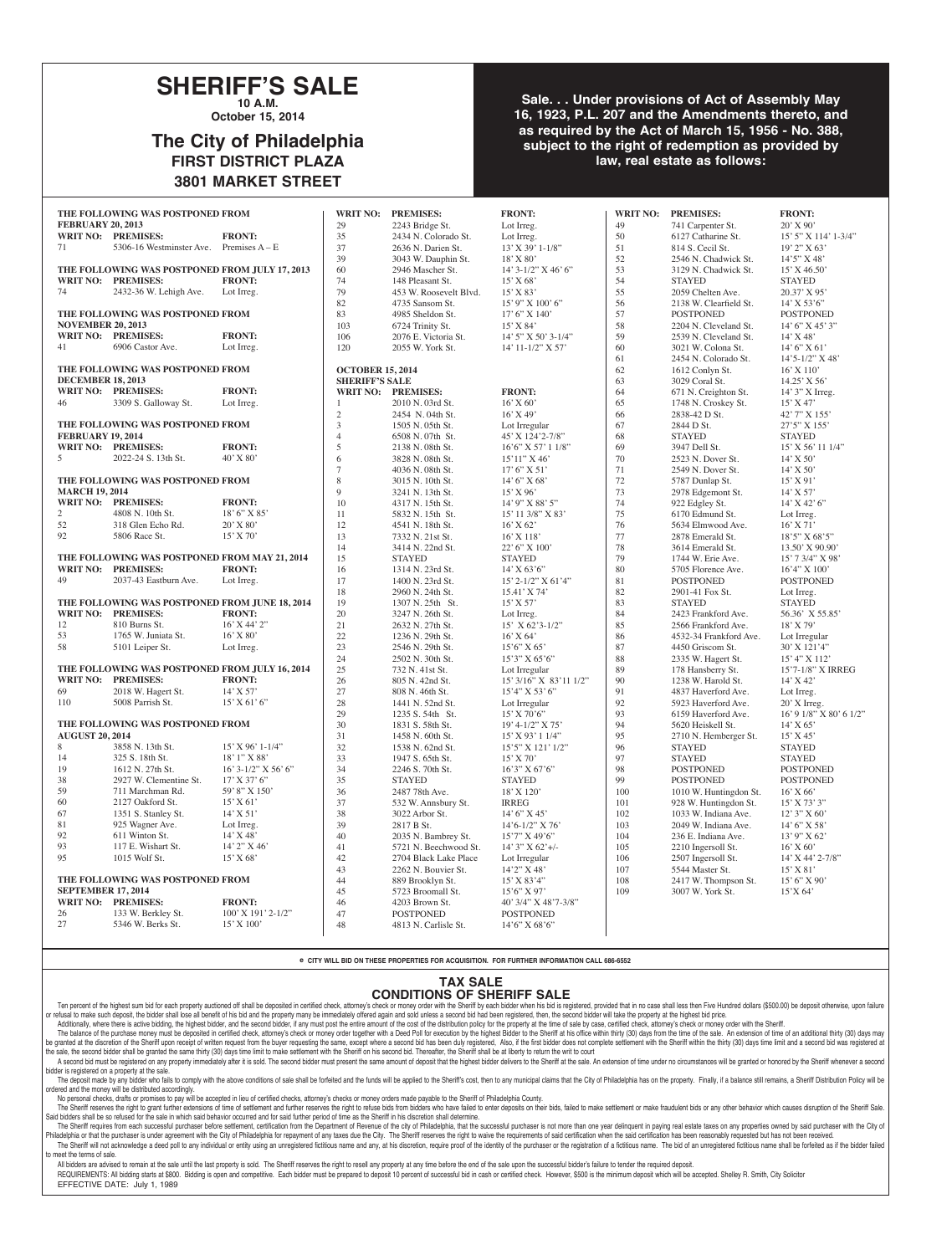## **SHERIFF'S SALE 10 A.M.**

**October 15, 2014**

# **The City of Philadelphia FIRST DISTRICT PLAZA 3801 MARKET STREET**

#### **Sale. . . Under provisions of Act of Assembly May 16, 1923, P.L. 207 and the Amendments thereto, and as required by the Act of March 15, 1956 - No. 388, subject to the right of redemption as provided by law, real estate as follows:**

|                                                               | THE FOLLOWING WAS POSTPONED FROM               |                              | <b>WRIT NO:</b>         | <b>PREMISES:</b>                             | <b>FRONT:</b>                            | <b>WRIT NO:</b> | <b>PREMISES:</b>                      | <b>FRONT:</b>                     |
|---------------------------------------------------------------|------------------------------------------------|------------------------------|-------------------------|----------------------------------------------|------------------------------------------|-----------------|---------------------------------------|-----------------------------------|
| <b>FEBRUARY 20, 2013</b>                                      |                                                |                              | 29                      | 2243 Bridge St.                              | Lot Irreg.                               | 49              | 741 Carpenter St.                     | $20'$ X 90'                       |
|                                                               | WRIT NO: PREMISES:                             | <b>FRONT:</b>                | 35                      | 2434 N. Colorado St.                         | Lot Irreg.                               | 50              | 6127 Catharine St.                    | 15' 5" X 114' 1-3/4"              |
| 71                                                            | 5306-16 Westminster Ave. Premises $A - E$      |                              | 37                      | 2636 N. Darien St.                           | $13'$ X 39' 1-1/8"                       | 51              | 814 S. Cecil St.                      | $19'$ 2" X 63'                    |
|                                                               |                                                |                              | 39                      | 3043 W. Dauphin St.                          | 18' X 80'                                | 52              | 2546 N. Chadwick St.                  | $14'5''$ X 48'                    |
|                                                               | THE FOLLOWING WAS POSTPONED FROM JULY 17, 2013 |                              | 60                      | 2946 Mascher St.                             | $14'$ 3- $1/2''$ X 46' 6"                | 53              | 3129 N. Chadwick St.                  | $15'$ X 46.50'                    |
|                                                               | WRIT NO: PREMISES:                             | <b>FRONT:</b>                | 74                      | 148 Pleasant St.                             | 15' X 68'                                | 54              | <b>STAYED</b>                         | <b>STAYED</b>                     |
| 74                                                            | 2432-36 W. Lehigh Ave.                         | Lot Irreg.                   | 79                      | 453 W. Roosevelt Blvd.                       | $15'$ X 83'                              | 55              | 2059 Chelten Ave.                     | $20.37'$ X 95'                    |
|                                                               |                                                |                              | 82                      | 4735 Sansom St.                              | $15'$ 9" X $100'$ 6"                     | 56              | 2138 W. Clearfield St.                | $14'$ X 53'6"                     |
|                                                               | THE FOLLOWING WAS POSTPONED FROM               |                              | 83                      | 4985 Sheldon St.                             | 17' 6'' X 140'                           | 57              | <b>POSTPONED</b>                      | <b>POSTPONED</b>                  |
| <b>NOVEMBER 20, 2013</b>                                      |                                                |                              | 103                     | 6724 Trinity St.                             | 15' X 84'                                | 58              | 2204 N. Cleveland St.                 | $14'6''$ X $45'3''$               |
|                                                               | WRIT NO: PREMISES:                             | <b>FRONT:</b>                | 106                     | 2076 E. Victoria St.                         | 14' 5" X 50' 3-1/4"                      | 59              | 2539 N. Cleveland St.                 | $14'$ X 48'                       |
| 41                                                            | 6906 Castor Ave.                               | Lot Irreg.                   | 120                     | 2055 W. York St.                             | 14' 11-1/2" X 57'                        | 60              | 3021 W. Colona St.                    | $14'6''$ X 61'                    |
|                                                               |                                                |                              |                         |                                              |                                          | 61              | 2454 N. Colorado St.                  | $14'5 - 1/2''$ X 48'              |
|                                                               | THE FOLLOWING WAS POSTPONED FROM               |                              | <b>OCTOBER 15, 2014</b> |                                              |                                          | 62              | 1612 Conlyn St.                       | $16'$ X $110'$                    |
| <b>DECEMBER 18, 2013</b>                                      |                                                |                              | <b>SHERIFF'S SALE</b>   |                                              |                                          | 63              | 3029 Coral St.                        | 14.25' X 56'                      |
|                                                               | WRIT NO: PREMISES:                             | <b>FRONT:</b>                |                         | WRIT NO: PREMISES:                           | <b>FRONT:</b>                            | 64              | 671 N. Creighton St.                  | 14' 3" X Irreg.                   |
| 46                                                            | 3309 S. Galloway St.                           | Lot Irreg.                   | 1                       | 2010 N. 03rd St.                             | $16'$ X 60'                              | 65              | 1748 N. Croskey St.                   | 15' X 47'                         |
|                                                               |                                                |                              | $\sqrt{2}$              | 2454 N. 04th St.                             | 16' X 49'                                | 66              | 2838-42 D St.                         | 42' 7" X 155'                     |
|                                                               | THE FOLLOWING WAS POSTPONED FROM               |                              | 3                       | 1505 N. 05th St.                             | Lot Irregular                            | 67              | 2844 D St.                            | 27'5" X 155'                      |
| <b>FEBRUARY 19, 2014</b>                                      |                                                |                              | $\overline{4}$          | 6508 N. 07th St.                             | 45' X 124'2-7/8"                         | 68              | <b>STAYED</b>                         | <b>STAYED</b>                     |
|                                                               | WRIT NO: PREMISES:                             | <b>FRONT:</b>                | 5                       | 2138 N. 08th St.                             | $16'6''$ X 57' $11/8''$                  | 69              | 3947 Dell St.                         | 15' X 56' 11 1/4"                 |
| 5                                                             | 2022-24 S. 13th St.                            | $40'$ X $80'$                | 6                       | 3828 N. 08th St.                             | $15'11''$ X 46'                          | 70              | 2523 N. Dover St.                     | $14'$ X 50'                       |
|                                                               |                                                |                              | $\overline{7}$          | 4036 N. 08th St.                             | 17' 6'' X 51'                            | 71              | 2549 N. Dover St.                     | $14'$ X 50'                       |
|                                                               | THE FOLLOWING WAS POSTPONED FROM               |                              | $\,8\,$                 | 3015 N. 10th St.                             | 14' 6'' X 68'                            | 72              | 5787 Dunlap St.                       | $15'$ X 91'                       |
| <b>MARCH 19, 2014</b>                                         |                                                |                              | 9                       | 3241 N. 13th St.                             | $15'$ X 96'                              | 73              | 2978 Edgemont St.                     | $14'$ X 57'                       |
|                                                               | WRIT NO: PREMISES:                             | <b>FRONT:</b>                | 10                      | 4317 N. 15th St.                             | 14' 9" X 88' 5"                          | 74              | 922 Edgley St.                        | 14' X 42' 6"                      |
| 2                                                             | 4808 N. 10th St.                               | 18' 6" X 85'                 | 11                      | 5832 N. 15th St.                             | 15' 11 3/8" X 83'                        | 75              | 6170 Edmund St.                       | Lot Irreg.                        |
| 52                                                            | 318 Glen Echo Rd.                              | 20' X 80'                    | 12                      | 4541 N. 18th St.                             | $16'$ X 62'                              | 76              | 5634 Elmwood Ave.                     | $16'$ X 71'                       |
| 92                                                            | 5806 Race St.                                  | 15' X 70'                    | 13                      | 7332 N. 21st St.                             | $16'$ X $118'$                           | 77              | 2878 Emerald St.                      | $18'5''$ X 68'5"                  |
|                                                               |                                                |                              | 14                      | 3414 N. 22nd St.                             | 22' 6" X 100'                            | 78              | 3614 Emerald St.                      | 13.50' X 90.90'                   |
|                                                               | THE FOLLOWING WAS POSTPONED FROM MAY 21, 2014  |                              | 15                      | <b>STAYED</b>                                | <b>STAYED</b>                            | 79              | 1744 W. Erie Ave.                     | 15' 7 3/4" X 98'                  |
|                                                               | <b>WRIT NO: PREMISES:</b>                      | <b>FRONT:</b>                | 16                      | 1314 N. 23rd St.                             | $14'$ X 63'6"                            | 80              | 5705 Florence Ave.                    | 16'4" X 100'                      |
| 49                                                            | 2037-43 Eastburn Ave.                          | Lot Irreg.                   | 17                      | 1400 N. 23rd St.                             | $15'$ 2-1/2" X 61'4"                     | 81              | <b>POSTPONED</b>                      | <b>POSTPONED</b>                  |
|                                                               |                                                |                              | 18                      | 2960 N. 24th St.                             | 15.41' X 74'                             | 82              | 2901-41 Fox St.                       | Lot Irreg.                        |
|                                                               | THE FOLLOWING WAS POSTPONED FROM JUNE 18, 2014 |                              | 19                      | 1307 N. 25th St.                             | $15'$ X 57'                              | 83              | <b>STAYED</b>                         | <b>STAYED</b>                     |
|                                                               | WRIT NO: PREMISES:                             | <b>FRONT:</b>                | 20                      | 3247 N. 26th St.                             | Lot Irreg.                               | 84              | 2423 Frankford Ave.                   | 56.36' X 55.85'                   |
| 12                                                            | 810 Burns St.                                  | $16'$ X 44' 2"               | 21                      | 2632 N. 27th St.                             | $15'$ X 62'3-1/2"                        | 85              | 2566 Frankford Ave.                   | 18'X 79'                          |
| 53                                                            | 1765 W. Juniata St.                            | 16' X 80'                    | 22                      | 1236 N. 29th St.                             | $16'$ X 64'                              | 86              | 4532-34 Frankford Ave.                | Lot Irregular                     |
| 58                                                            | 5101 Leiper St.                                | Lot Irreg.                   | 23                      | 2546 N. 29th St.                             | $15'6''$ X 65'                           | 87              | 4450 Griscom St.                      | 30' X 121'4"                      |
|                                                               |                                                |                              | 24                      | 2502 N. 30th St.                             | $15'3''$ X $65'6''$                      | 88              | 2335 W. Hagert St.                    | 15' 4" X 112'                     |
|                                                               | THE FOLLOWING WAS POSTPONED FROM JULY 16, 2014 |                              | 25                      | 732 N. 41st St.                              | Lot Irregular                            | 89              | 178 Hansberry St.                     | 15'7-1/8" X IRREG                 |
|                                                               | WRIT NO: PREMISES:                             | <b>FRONT:</b>                | 26                      | 805 N. 42nd St.                              | 15' 3/16" X 83'11 1/2"                   | 90              | 1238 W. Harold St.                    | $14'$ X 42'                       |
| 69                                                            | 2018 W. Hagert St.                             | $14'$ X 57'                  | 27                      | 808 N. 46th St.                              | $15'4''$ X 53' 6"                        | 91              | 4837 Haverford Ave.                   | Lot Irreg.                        |
| 110                                                           | 5008 Parrish St.                               | $15'$ X 61' 6"               | 28                      | 1441 N. 52nd St.                             | Lot Irregular                            | 92              | 5923 Haverford Ave.                   | 20' X Irreg.                      |
|                                                               |                                                |                              | 29                      | 1235 S. 54th St.                             | $15'$ X 70'6"                            | 93              | 6159 Haverford Ave.                   | 16' 9 1/8" X 80' 6 1/2"           |
|                                                               | THE FOLLOWING WAS POSTPONED FROM               |                              | 30                      | 1831 S. 58th St.                             | 19' 4-1/2" X 75'                         | 94              | 5620 Heiskell St.                     | $14'$ X 65'                       |
| <b>AUGUST 20, 2014</b>                                        |                                                |                              | 31                      | 1458 N. 60th St.                             | 15' X 93' 1 1/4"                         | 95              | 2710 N. Hemberger St.                 | $15'$ X 45'                       |
| 8                                                             | 3858 N. 13th St.                               | $15'$ X 96' 1-1/4"           | 32                      | 1538 N. 62nd St.                             | 15'5" X 121' 1/2"                        | 96              | <b>STAYED</b>                         | <b>STAYED</b>                     |
| 14                                                            | 325 S. 18th St.                                | $18'1''$ X 88'               | 33                      | 1947 S. 65th St.                             | $15'$ X 70'                              | 97              | <b>STAYED</b>                         | <b>STAYED</b>                     |
| 19                                                            | 1612 N. 27th St.                               | $16'$ 3- $1/2''$ X 56' 6"    | 34                      | 2246 S. 70th St.                             | 16'3" X 67'6"                            | 98              | <b>POSTPONED</b>                      | <b>POSTPONED</b>                  |
| 38                                                            | 2927 W. Clementine St.                         | $17'$ X 37' 6"               | 35                      | <b>STAYED</b>                                | <b>STAYED</b>                            | 99              | <b>POSTPONED</b>                      | <b>POSTPONED</b>                  |
| 59                                                            | 711 Marchman Rd.<br>2127 Oakford St.           | 59' 8" X 150'<br>$15'$ X 61' | 36                      | 2487 78th Ave.                               | $18'$ X $120'$                           | 100             | 1010 W. Huntingdon St.                | $16'$ X 66'                       |
| 60                                                            |                                                |                              | 37                      | 532 W. Annsbury St.                          | <b>IRREG</b>                             | 101             | 928 W. Huntingdon St.                 | 15' X 73' 3"                      |
| 67                                                            | 1351 S. Stanley St.<br>925 Wagner Ave.         | $14'$ X 51'                  | 38                      | 3022 Arbor St.                               | 14' 6'' X 45'                            | 102             | 1033 W. Indiana Ave.                  | $12'3''$ X 60'                    |
| 81<br>92                                                      | 611 Winton St.                                 | Lot Irreg.<br>$14'$ X 48'    | 39<br>40                | 2817 B St.                                   | 14'6-1/2" X 76'                          | 103<br>104      | 2049 W. Indiana Ave.                  | $14'6''$ X 58'                    |
| 93                                                            | 117 E. Wishart St.                             | 14' 2" X 46'                 |                         | 2035 N. Bambrey St.                          | $15'7''$ X 49'6"<br>$14'$ 3" X $62'$ +/- | 105             | 236 E. Indiana Ave.                   | $13'$ 9" X 62'                    |
| 95                                                            | 1015 Wolf St.                                  | 15' X 68'                    | 41                      | 5721 N. Beechwood St.                        |                                          | 106             | 2210 Ingersoll St.                    | $16'$ X 60'                       |
|                                                               |                                                |                              | 42<br>43                | 2704 Black Lake Place<br>2262 N. Bouvier St. | Lot Irregular<br>$14'2''$ X 48'          | 107             | 2507 Ingersoll St.<br>5544 Master St. | $14'$ X 44' 2-7/8"<br>$15'$ X 81' |
|                                                               |                                                |                              | 44                      | 889 Brooklyn St.                             | $15'$ X 83'4"                            | 108             | 2417 W. Thompson St.                  | $15'6''$ X 90'                    |
| THE FOLLOWING WAS POSTPONED FROM<br><b>SEPTEMBER 17, 2014</b> |                                                |                              | 45                      | 5723 Broomall St.                            | 15'6" X 97'                              | 109             | 3007 W. York St.                      | 15'X 64'                          |
|                                                               | WRIT NO: PREMISES:                             | <b>FRONT:</b>                | 46                      | 4203 Brown St.                               | 40' 3/4" X 48'7-3/8"                     |                 |                                       |                                   |
| 26                                                            | 133 W. Berkley St.                             | $100'$ X $191'$ 2- $1/2''$   | 47                      | <b>POSTPONED</b>                             | <b>POSTPONED</b>                         |                 |                                       |                                   |
| 27                                                            | 5346 W. Berks St.                              | 15' X 100'                   | 48                      | 4813 N. Carlisle St.                         | 14'6" X 68'6"                            |                 |                                       |                                   |
|                                                               |                                                |                              |                         |                                              |                                          |                 |                                       |                                   |

**e CITY WILL BID ON THESE PROPERTIES FOR ACQUISITION. FOR FURTHER INFORMATION CALL 686-6552**

#### **TAX SALE CONDITIONS OF SHERIFF SALE**

Ten percent of the highest sum bid for each property auctioned off shall be deposited in certified check, attorney's check or money order with the Sheriff by each bidder when his bid is registered, provided that in no case or refusal to make such deposit, the bidder shall lose all benefit of his bid and the property many be immediately offered again and sold unless a second bid had been registered, then, the second bidder will take the prope Additionally, where there is active bidding, the highest bidder, and the second bidder, if any must post the entire amount of the cost of the distribution policy for the property at the time of sale by case, certified chec

The balance of the purchase money must be deposited in certified check, attorney's check or money order together with a Deed Poll for execution by the highest Bidder to the Sheriff at his office within thirty (30) days fro a granted at the discretion of the Sheriff upon receipt of written request from the buyer requesting the same, except where a second bid has been duly registered. Also, if the first bidder does not complete settlement with the sale, the second bidder shall be granted the same thirty (30) days time limit to make settlement with the Sheriff on his second bid. Thereafter, the Sheriff shall be at liberty to return the writ to court

A second bid must be registered on any property immediately after it is sold. The second bidder must present the same amount of deposit that the highest bidder delivers to the Sheriff at the sale. An extension of time unde bidder is registered on a property at the sale.

The deposit made by any bidder who fails to comply with the above conditions of sale shall be forfeited and the funds will be applied to the Sheriff's cost, then to any municipal claims that the City of Philadelphia has on ordered and the money will be distributed accordingly. No personal checks, drafts or promises to pay will be accepted in lieu of certified checks, attorney's checks or money orders made payable to the Sheriff of Philadelphia County.

The Sheriff reserves the right to grant further extensions of time of settlement and further reserves the right to refuse bids from bidders who have failed to enter deposits on their bids, failed to make settlement or make Said bidders shall be so refused for the sale in which said behavior occurred and for said further period of time as the Sheriff in his discretion shall determine.

The Sheriff requires from each successful purchaser before settlement, certification from the Department of Revenue of the city of Philadelphia, that the successful purchaser is not more than one year delinquent in paying Philadelphia or that the purchaser is under agreement with the City of Philadelphia for repayment of any taxes due the City. The Sheriff reserves the right to waive the requirements of said certification when the said cert The Sheriff will not acknowledge a deed poll to any individual or entity using an unregistered fictitious name and any, at his discretion, require proof of the identity of the purchaser or the registration of a fictitious to meet the terms of sale.

All bidders are advised to remain at the sale until the last property is sold. The Sheriff reserves the right to resell any property at any time before the end of the sale upon the successful bidder's failure to tender the REQUIREMENTS: All bidding starts at \$800. Bidding is open and competitive. Each bidder must be prepared to deposit 10 percent of successful bid in cash or certified check. However, \$500 is the minimum deposit which will be EFFECTIVE DATE: July 1, 1989